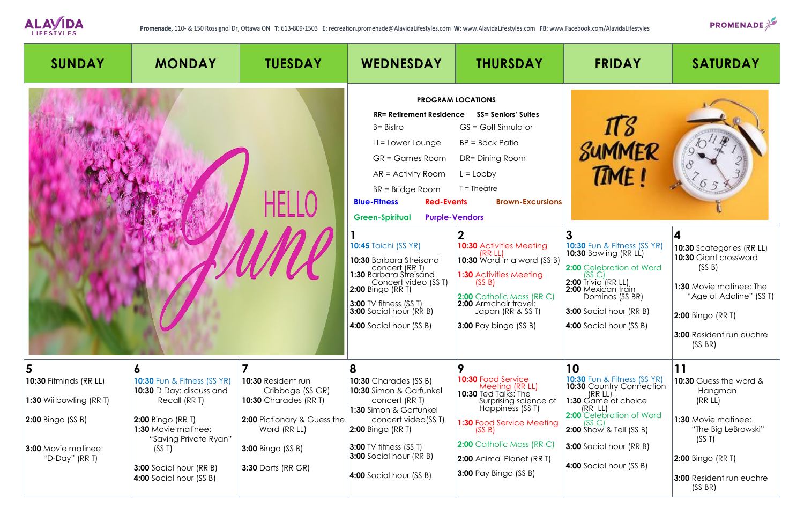

| <b>SUNDAY</b>                                                                        | <b>MONDAY</b>                                                                                                                                                        | <b>TUESDAY</b>                                                                                                               | <b>WEDNESDAY</b>                                                                                                                                                                                                                                   | <b>THURSDAY</b>                                                                                                                                                                                                                         | <b>FRIDAY</b>                                                                                                                                                                                                                                              | <b>SATURDAY</b>                                                                                                                                                                |
|--------------------------------------------------------------------------------------|----------------------------------------------------------------------------------------------------------------------------------------------------------------------|------------------------------------------------------------------------------------------------------------------------------|----------------------------------------------------------------------------------------------------------------------------------------------------------------------------------------------------------------------------------------------------|-----------------------------------------------------------------------------------------------------------------------------------------------------------------------------------------------------------------------------------------|------------------------------------------------------------------------------------------------------------------------------------------------------------------------------------------------------------------------------------------------------------|--------------------------------------------------------------------------------------------------------------------------------------------------------------------------------|
|                                                                                      |                                                                                                                                                                      |                                                                                                                              | <b>RR= Retirement Residence</b><br>$B = BistrO$<br>LL= Lower Lounge<br>GR = Games Room<br>$AR = Activity Room$<br>BR = Bridge Room<br><b>Red-Events</b><br><b>Blue-Fitness</b><br><b>Green-Spiritual</b><br><b>Purple-Vendors</b>                  | <b>PROGRAM LOCATIONS</b><br><b>SS= Seniors' Suites</b><br>$GS = Golf$ Simulator<br>BP = Back Patio<br>DR= Dining Room<br>$L = Lobby$<br>$T = The$ atre<br><b>Brown-Excursions</b>                                                       | SUMMER<br>TIME!                                                                                                                                                                                                                                            |                                                                                                                                                                                |
|                                                                                      |                                                                                                                                                                      |                                                                                                                              | <b>10:45 Taichi (SS YR)</b><br>10:30 Barbara Streisand<br>Concert (RRT)<br>1:30 Barbara Streisand<br>Concert video (SST)<br><b>2:00 Bingo (RR T)</b><br><b>3:00</b> TV fitness (SS T)<br><b>3:00</b> Social hour (RR B)<br>4:00 Social hour (SS B) | <b>10:30 Activities Meeting</b><br>(RR LL)<br><b>10:30</b> Word in a word (SS B)<br><b>1:30 Activities Meeting</b><br>(SS B)<br>2:00 Catholic Mass (RR C)<br>2:00 Armchair travel:<br>Japan (RR & SS T)<br><b>3:00</b> Pay bingo (SS B) | <b>10:30</b> Fun & Fitness (SS YR)<br><b>10:30</b> Bowling (RR LL)<br>2:00 Celebration of Word<br>(SS <sub>C</sub> )<br>$2:00$ Trivia (RR LL)<br>2:00 Mexican tráin<br>Dominos (SS BR)<br><b>3:00</b> Social hour (RR B)<br><b>4:00</b> Social hour (SS B) | 10:30 Scategories (RR LL)<br>10:30 Giant crossword<br>(SS B)<br>1:30 Movie matinee: The<br>"Age of Adaline" (SS T)<br>2:00 Bingo (RR T)<br>3:00 Resident run euchre<br>(SS BR) |
| 5<br>10:30 Fitminds (RR LL)<br>1:30 Wii bowling $(RR I)$<br><b>2:00 Bingo (SS B)</b> | O<br><b>10:30 Fun &amp; Fitness (SS YR)</b><br>10:30 D Day: discuss and<br>Recall (RR T)<br><b>2:00 Bingo (RR T)</b><br>1:30 Movie matinee:<br>"Saving Private Ryan" | <b>10:30 Resident run</b><br>Cribbage (SS GR)<br><b>10:30</b> Charades (RR T)<br>2:00 Pictionary & Guess the<br>Word (RR LL) | 8<br>10:30 Charades (SS B)<br>10:30 Simon & Garfunkel<br>concert (RRT)<br>1:30 Simon & Garfunkel<br>concert video(SST)<br><b>2:00 Bingo (RR T)</b>                                                                                                 | 9<br><b>10:30 Food Service</b><br>Meeting (RR LL)<br><b>10:30</b> Ted Talks: The<br>Surprising science of<br>Happiness (SST)<br>1:30 Food Service Meeting<br>(SS B)                                                                     | 10<br><b>10:30 Fun &amp; Fitness (SS YR)</b><br>10:30 Country Connection<br>(RR LL)<br>1:30 Game of choice<br>(RR LL)<br>2:00 Celebration of Word<br>(SS C)<br><b>2:00</b> Show & Tell (SS B)                                                              | 11<br>10:30 Guess the word &<br>Hangman<br>(RR LL)<br><b>1:30 Movie matinee:</b><br>"The Big LeBrowski"<br>(SS T)                                                              |
| <b>3:00 Movie matinee:</b><br>"D-Day" (RR T)                                         | (SST)<br><b>3:00</b> Social hour (RR B)<br>4:00 Social hour (SS B)                                                                                                   | <b>3:00</b> Bingo (SS B)<br><b>3:30 Darts (RR GR)</b>                                                                        | <b>3:00</b> TV fitness (SS T)<br><b>3:00</b> Social hour (RR B)<br><b>4:00</b> Social hour (SS B)                                                                                                                                                  | 2:00 Catholic Mass (RR C)<br>2:00 Animal Planet (RR T)<br><b>3:00</b> Pay Bingo (SS B)                                                                                                                                                  | <b>3:00</b> Social hour (RR B)<br>4:00 Social hour (SS B)                                                                                                                                                                                                  | <b>2:00 Bingo (RR T)</b><br><b>3:00 Resident run euchre</b><br>(SS BR)                                                                                                         |